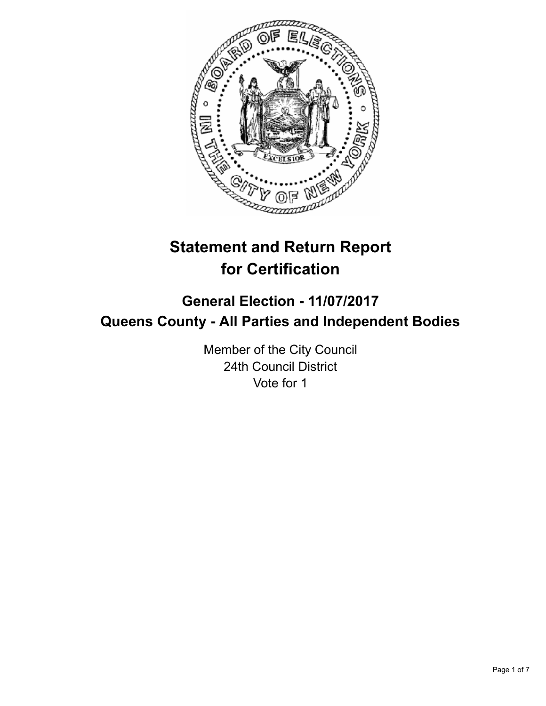

# **Statement and Return Report for Certification**

## **General Election - 11/07/2017 Queens County - All Parties and Independent Bodies**

Member of the City Council 24th Council District Vote for 1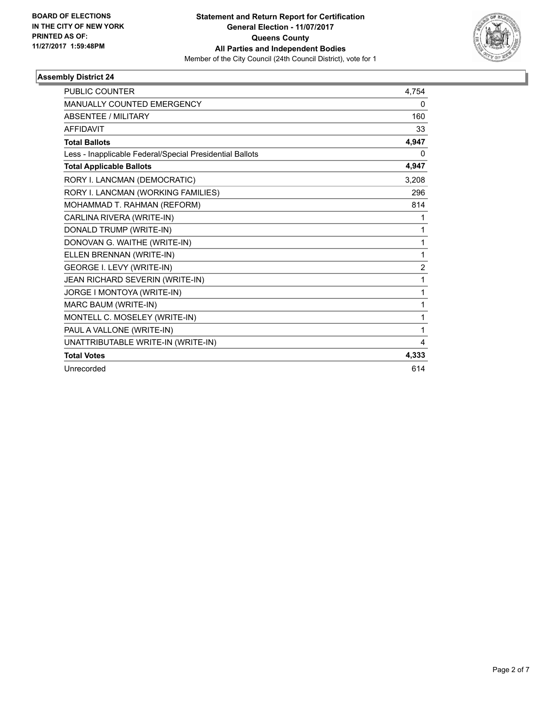

| <b>PUBLIC COUNTER</b>                                    | 4,754          |
|----------------------------------------------------------|----------------|
| <b>MANUALLY COUNTED EMERGENCY</b>                        | 0              |
| <b>ABSENTEE / MILITARY</b>                               | 160            |
| <b>AFFIDAVIT</b>                                         | 33             |
| <b>Total Ballots</b>                                     | 4,947          |
| Less - Inapplicable Federal/Special Presidential Ballots | 0              |
| <b>Total Applicable Ballots</b>                          | 4,947          |
| RORY I. LANCMAN (DEMOCRATIC)                             | 3,208          |
| RORY I. LANCMAN (WORKING FAMILIES)                       | 296            |
| MOHAMMAD T. RAHMAN (REFORM)                              | 814            |
| CARLINA RIVERA (WRITE-IN)                                | 1              |
| DONALD TRUMP (WRITE-IN)                                  | 1              |
| DONOVAN G. WAITHE (WRITE-IN)                             | 1              |
| ELLEN BRENNAN (WRITE-IN)                                 | 1              |
| GEORGE I. LEVY (WRITE-IN)                                | $\overline{2}$ |
| JEAN RICHARD SEVERIN (WRITE-IN)                          | 1              |
| JORGE I MONTOYA (WRITE-IN)                               | 1              |
| MARC BAUM (WRITE-IN)                                     | 1              |
| MONTELL C. MOSELEY (WRITE-IN)                            | 1              |
| PAUL A VALLONE (WRITE-IN)                                | 1              |
| UNATTRIBUTABLE WRITE-IN (WRITE-IN)                       | 4              |
| <b>Total Votes</b>                                       | 4,333          |
| Unrecorded                                               | 614            |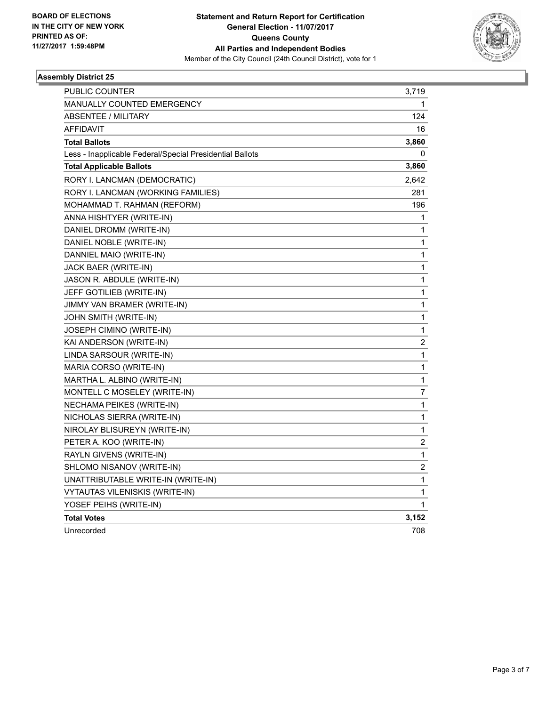

| <b>PUBLIC COUNTER</b>                                    | 3,719          |
|----------------------------------------------------------|----------------|
| <b>MANUALLY COUNTED EMERGENCY</b>                        | 1              |
| <b>ABSENTEE / MILITARY</b>                               | 124            |
| <b>AFFIDAVIT</b>                                         | 16             |
| <b>Total Ballots</b>                                     | 3,860          |
| Less - Inapplicable Federal/Special Presidential Ballots | 0              |
| <b>Total Applicable Ballots</b>                          | 3,860          |
| RORY I. LANCMAN (DEMOCRATIC)                             | 2,642          |
| RORY I. LANCMAN (WORKING FAMILIES)                       | 281            |
| MOHAMMAD T. RAHMAN (REFORM)                              | 196            |
| ANNA HISHTYER (WRITE-IN)                                 | 1              |
| DANIEL DROMM (WRITE-IN)                                  | 1              |
| DANIEL NOBLE (WRITE-IN)                                  | 1              |
| DANNIEL MAIO (WRITE-IN)                                  | 1              |
| JACK BAER (WRITE-IN)                                     | $\mathbf 1$    |
| JASON R. ABDULE (WRITE-IN)                               | 1              |
| JEFF GOTILIEB (WRITE-IN)                                 | 1              |
| JIMMY VAN BRAMER (WRITE-IN)                              | 1              |
| JOHN SMITH (WRITE-IN)                                    | 1              |
| JOSEPH CIMINO (WRITE-IN)                                 | 1              |
| KAI ANDERSON (WRITE-IN)                                  | 2              |
| LINDA SARSOUR (WRITE-IN)                                 | 1              |
| MARIA CORSO (WRITE-IN)                                   | 1              |
| MARTHA L. ALBINO (WRITE-IN)                              | 1              |
| MONTELL C MOSELEY (WRITE-IN)                             | $\overline{7}$ |
| NECHAMA PEIKES (WRITE-IN)                                | 1              |
| NICHOLAS SIERRA (WRITE-IN)                               | 1              |
| NIROLAY BLISUREYN (WRITE-IN)                             | 1              |
| PETER A. KOO (WRITE-IN)                                  | 2              |
| RAYLN GIVENS (WRITE-IN)                                  | 1              |
| SHLOMO NISANOV (WRITE-IN)                                | $\overline{c}$ |
| UNATTRIBUTABLE WRITE-IN (WRITE-IN)                       | 1              |
| <b>VYTAUTAS VILENISKIS (WRITE-IN)</b>                    | 1              |
| YOSEF PEIHS (WRITE-IN)                                   | 1              |
| <b>Total Votes</b>                                       | 3,152          |
| Unrecorded                                               | 708            |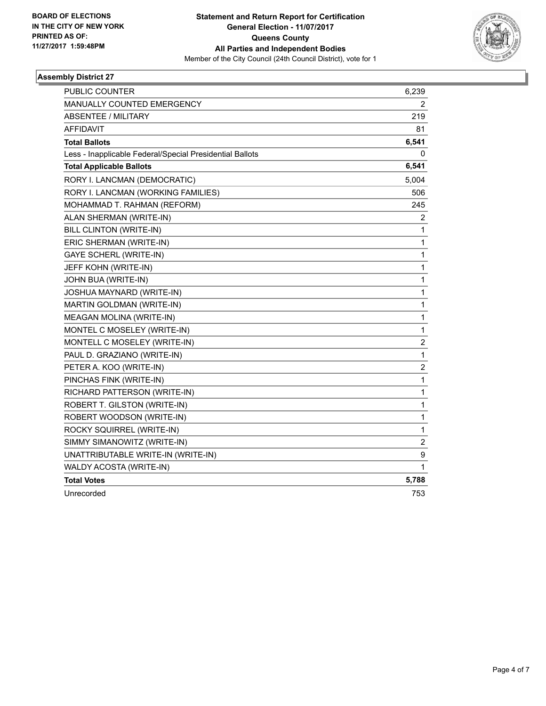

| <b>PUBLIC COUNTER</b>                                    | 6,239            |
|----------------------------------------------------------|------------------|
| MANUALLY COUNTED EMERGENCY                               | 2                |
| <b>ABSENTEE / MILITARY</b>                               | 219              |
| <b>AFFIDAVIT</b>                                         | 81               |
| <b>Total Ballots</b>                                     | 6,541            |
| Less - Inapplicable Federal/Special Presidential Ballots | 0                |
| <b>Total Applicable Ballots</b>                          | 6,541            |
| RORY I. LANCMAN (DEMOCRATIC)                             | 5,004            |
| RORY I. LANCMAN (WORKING FAMILIES)                       | 506              |
| MOHAMMAD T. RAHMAN (REFORM)                              | 245              |
| ALAN SHERMAN (WRITE-IN)                                  | $\overline{c}$   |
| BILL CLINTON (WRITE-IN)                                  | 1                |
| ERIC SHERMAN (WRITE-IN)                                  | 1                |
| <b>GAYE SCHERL (WRITE-IN)</b>                            | 1                |
| JEFF KOHN (WRITE-IN)                                     | 1                |
| JOHN BUA (WRITE-IN)                                      | 1                |
| JOSHUA MAYNARD (WRITE-IN)                                | 1                |
| MARTIN GOLDMAN (WRITE-IN)                                | 1                |
| MEAGAN MOLINA (WRITE-IN)                                 | 1                |
| MONTEL C MOSELEY (WRITE-IN)                              | $\mathbf{1}$     |
| MONTELL C MOSELEY (WRITE-IN)                             | $\overline{c}$   |
| PAUL D. GRAZIANO (WRITE-IN)                              | 1                |
| PETER A. KOO (WRITE-IN)                                  | $\boldsymbol{2}$ |
| PINCHAS FINK (WRITE-IN)                                  | $\mathbf{1}$     |
| RICHARD PATTERSON (WRITE-IN)                             | 1                |
| ROBERT T. GILSTON (WRITE-IN)                             | 1                |
| ROBERT WOODSON (WRITE-IN)                                | 1                |
| ROCKY SQUIRREL (WRITE-IN)                                | $\mathbf{1}$     |
| SIMMY SIMANOWITZ (WRITE-IN)                              | $\overline{c}$   |
| UNATTRIBUTABLE WRITE-IN (WRITE-IN)                       | 9                |
| WALDY ACOSTA (WRITE-IN)                                  | 1                |
| <b>Total Votes</b>                                       | 5,788            |
| Unrecorded                                               | 753              |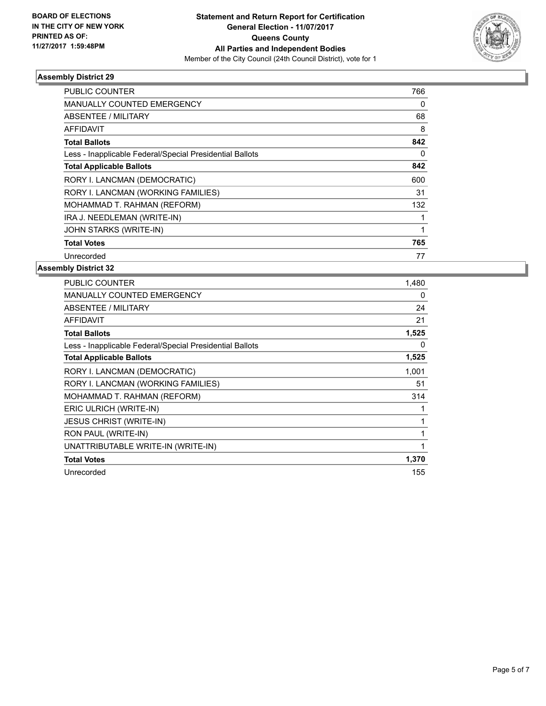

| <b>PUBLIC COUNTER</b>                                    | 766 |
|----------------------------------------------------------|-----|
| <b>MANUALLY COUNTED EMERGENCY</b>                        | 0   |
| ABSENTEE / MILITARY                                      | 68  |
| <b>AFFIDAVIT</b>                                         | 8   |
| <b>Total Ballots</b>                                     | 842 |
| Less - Inapplicable Federal/Special Presidential Ballots | 0   |
| <b>Total Applicable Ballots</b>                          | 842 |
| RORY I. LANCMAN (DEMOCRATIC)                             | 600 |
| RORY I. LANCMAN (WORKING FAMILIES)                       | 31  |
| MOHAMMAD T. RAHMAN (REFORM)                              | 132 |
| IRA J. NEEDLEMAN (WRITE-IN)                              |     |
| <b>JOHN STARKS (WRITE-IN)</b>                            |     |
| <b>Total Votes</b>                                       | 765 |
| Unrecorded                                               | 77  |

| <b>PUBLIC COUNTER</b>                                    | 1,480 |
|----------------------------------------------------------|-------|
| <b>MANUALLY COUNTED EMERGENCY</b>                        | 0     |
| <b>ABSENTEE / MILITARY</b>                               | 24    |
| <b>AFFIDAVIT</b>                                         | 21    |
| <b>Total Ballots</b>                                     | 1,525 |
| Less - Inapplicable Federal/Special Presidential Ballots | 0     |
| <b>Total Applicable Ballots</b>                          | 1,525 |
| RORY I. LANCMAN (DEMOCRATIC)                             | 1,001 |
| RORY I. LANCMAN (WORKING FAMILIES)                       | 51    |
| MOHAMMAD T. RAHMAN (REFORM)                              | 314   |
| ERIC ULRICH (WRITE-IN)                                   |       |
| <b>JESUS CHRIST (WRITE-IN)</b>                           |       |
| RON PAUL (WRITE-IN)                                      | 1     |
| UNATTRIBUTABLE WRITE-IN (WRITE-IN)                       |       |
| <b>Total Votes</b>                                       | 1,370 |
| Unrecorded                                               | 155   |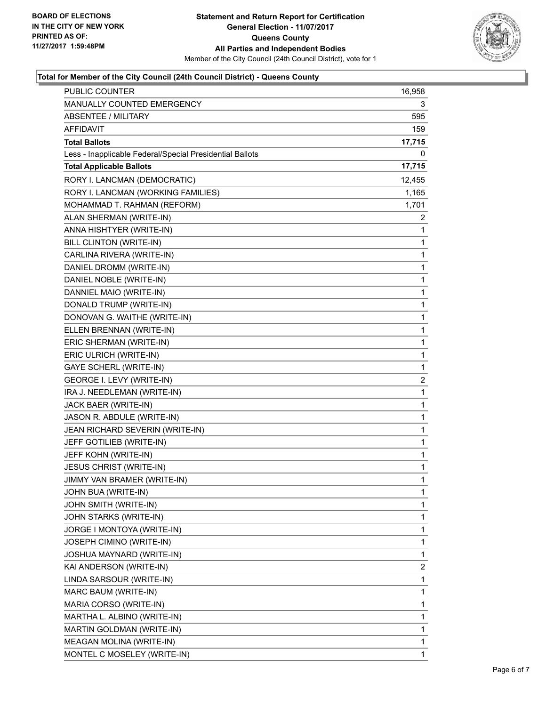

### **Total for Member of the City Council (24th Council District) - Queens County**

| <b>PUBLIC COUNTER</b>                                    | 16,958 |
|----------------------------------------------------------|--------|
| MANUALLY COUNTED EMERGENCY                               | 3      |
| <b>ABSENTEE / MILITARY</b>                               | 595    |
| AFFIDAVIT                                                | 159    |
| <b>Total Ballots</b>                                     | 17,715 |
| Less - Inapplicable Federal/Special Presidential Ballots | 0      |
| <b>Total Applicable Ballots</b>                          | 17,715 |
| RORY I. LANCMAN (DEMOCRATIC)                             | 12,455 |
| RORY I. LANCMAN (WORKING FAMILIES)                       | 1,165  |
| MOHAMMAD T. RAHMAN (REFORM)                              | 1,701  |
| ALAN SHERMAN (WRITE-IN)                                  | 2      |
| ANNA HISHTYER (WRITE-IN)                                 | 1      |
| BILL CLINTON (WRITE-IN)                                  | 1      |
| CARLINA RIVERA (WRITE-IN)                                | 1      |
| DANIEL DROMM (WRITE-IN)                                  | 1      |
| DANIEL NOBLE (WRITE-IN)                                  | 1      |
| DANNIEL MAIO (WRITE-IN)                                  | 1      |
| DONALD TRUMP (WRITE-IN)                                  | 1      |
| DONOVAN G. WAITHE (WRITE-IN)                             | 1      |
| ELLEN BRENNAN (WRITE-IN)                                 | 1      |
| ERIC SHERMAN (WRITE-IN)                                  | 1      |
| ERIC ULRICH (WRITE-IN)                                   | 1      |
| <b>GAYE SCHERL (WRITE-IN)</b>                            | 1      |
| GEORGE I. LEVY (WRITE-IN)                                | 2      |
| IRA J. NEEDLEMAN (WRITE-IN)                              | 1      |
| JACK BAER (WRITE-IN)                                     | 1      |
| JASON R. ABDULE (WRITE-IN)                               | 1      |
| JEAN RICHARD SEVERIN (WRITE-IN)                          | 1      |
| JEFF GOTILIEB (WRITE-IN)                                 | 1      |
| JEFF KOHN (WRITE-IN)                                     | 1      |
| <b>JESUS CHRIST (WRITE-IN)</b>                           | 1      |
| JIMMY VAN BRAMER (WRITE-IN)                              | 1      |
| JOHN BUA (WRITE-IN)                                      | 1      |
| JOHN SMITH (WRITE-IN)                                    | 1      |
| JOHN STARKS (WRITE-IN)                                   | 1      |
| JORGE I MONTOYA (WRITE-IN)                               | 1      |
| JOSEPH CIMINO (WRITE-IN)                                 | 1      |
| JOSHUA MAYNARD (WRITE-IN)                                | 1      |
| KAI ANDERSON (WRITE-IN)                                  | 2      |
| LINDA SARSOUR (WRITE-IN)                                 | 1      |
| MARC BAUM (WRITE-IN)                                     | 1      |
| MARIA CORSO (WRITE-IN)                                   | 1      |
| MARTHA L. ALBINO (WRITE-IN)                              | 1      |
| MARTIN GOLDMAN (WRITE-IN)                                | 1      |
| MEAGAN MOLINA (WRITE-IN)                                 | 1      |
| MONTEL C MOSELEY (WRITE-IN)                              | 1      |